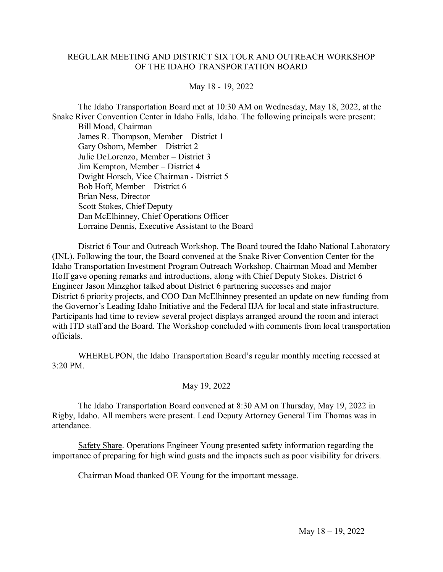## REGULAR MEETING AND DISTRICT SIX TOUR AND OUTREACH WORKSHOP OF THE IDAHO TRANSPORTATION BOARD

## May 18 - 19, 2022

The Idaho Transportation Board met at 10:30 AM on Wednesday, May 18, 2022, at the Snake River Convention Center in Idaho Falls, Idaho. The following principals were present:

Bill Moad, Chairman James R. Thompson, Member – District 1 Gary Osborn, Member – District 2 Julie DeLorenzo, Member – District 3 Jim Kempton, Member – District 4 Dwight Horsch, Vice Chairman - District 5 Bob Hoff, Member – District 6 Brian Ness, Director Scott Stokes, Chief Deputy Dan McElhinney, Chief Operations Officer Lorraine Dennis, Executive Assistant to the Board

District 6 Tour and Outreach Workshop. The Board toured the Idaho National Laboratory (INL). Following the tour, the Board convened at the Snake River Convention Center for the Idaho Transportation Investment Program Outreach Workshop. Chairman Moad and Member Hoff gave opening remarks and introductions, along with Chief Deputy Stokes. District 6 Engineer Jason Minzghor talked about District 6 partnering successes and major District 6 priority projects, and COO Dan McElhinney presented an update on new funding from the Governor's Leading Idaho Initiative and the Federal IIJA for local and state infrastructure. Participants had time to review several project displays arranged around the room and interact with ITD staff and the Board. The Workshop concluded with comments from local transportation officials.

WHEREUPON, the Idaho Transportation Board's regular monthly meeting recessed at 3:20 PM.

## May 19, 2022

The Idaho Transportation Board convened at 8:30 AM on Thursday, May 19, 2022 in Rigby, Idaho. All members were present. Lead Deputy Attorney General Tim Thomas was in attendance.

Safety Share. Operations Engineer Young presented safety information regarding the importance of preparing for high wind gusts and the impacts such as poor visibility for drivers.

Chairman Moad thanked OE Young for the important message.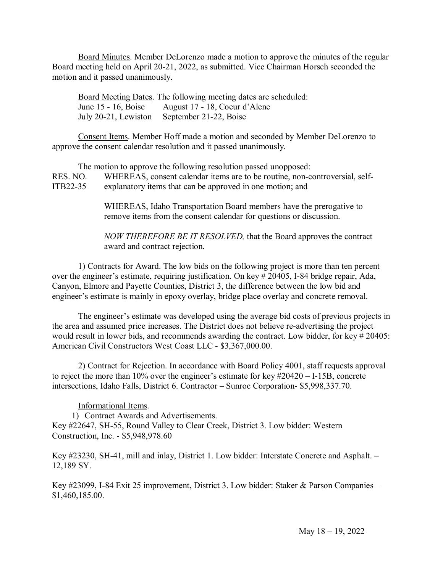Board Minutes. Member DeLorenzo made a motion to approve the minutes of the regular Board meeting held on April 20-21, 2022, as submitted. Vice Chairman Horsch seconded the motion and it passed unanimously.

Board Meeting Dates. The following meeting dates are scheduled: June 15 - 16, Boise August 17 - 18, Coeur d'Alene July 20-21, Lewiston September 21-22, Boise

Consent Items. Member Hoff made a motion and seconded by Member DeLorenzo to approve the consent calendar resolution and it passed unanimously.

The motion to approve the following resolution passed unopposed: RES. NO. WHEREAS, consent calendar items are to be routine, non-controversial, self-ITB22-35 explanatory items that can be approved in one motion; and

> WHEREAS, Idaho Transportation Board members have the prerogative to remove items from the consent calendar for questions or discussion.

*NOW THEREFORE BE IT RESOLVED,* that the Board approves the contract award and contract rejection.

1) Contracts for Award. The low bids on the following project is more than ten percent over the engineer's estimate, requiring justification. On key # 20405, I-84 bridge repair, Ada, Canyon, Elmore and Payette Counties, District 3, the difference between the low bid and engineer's estimate is mainly in epoxy overlay, bridge place overlay and concrete removal.

The engineer's estimate was developed using the average bid costs of previous projects in the area and assumed price increases. The District does not believe re-advertising the project would result in lower bids, and recommends awarding the contract. Low bidder, for key # 20405: American Civil Constructors West Coast LLC - \$3,367,000.00.

2) Contract for Rejection. In accordance with Board Policy 4001, staff requests approval to reject the more than 10% over the engineer's estimate for key #20420 – I-15B, concrete intersections, Idaho Falls, District 6. Contractor – Sunroc Corporation- \$5,998,337.70.

Informational Items.

1) Contract Awards and Advertisements. Key #22647, SH-55, Round Valley to Clear Creek, District 3. Low bidder: Western Construction, Inc. - \$5,948,978.60

Key #23230, SH-41, mill and inlay, District 1. Low bidder: Interstate Concrete and Asphalt. – 12,189 SY.

Key #23099, I-84 Exit 25 improvement, District 3. Low bidder: Staker & Parson Companies – \$1,460,185.00.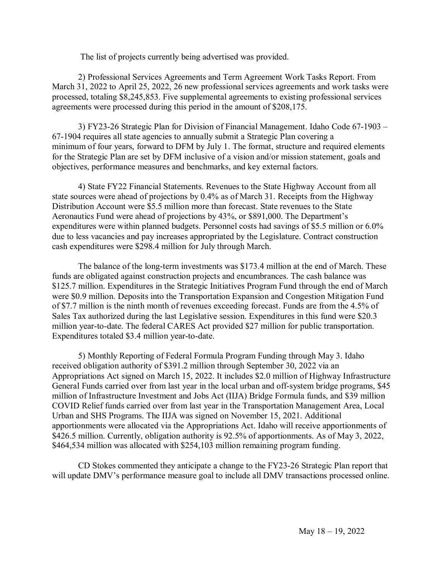The list of projects currently being advertised was provided.

2) Professional Services Agreements and Term Agreement Work Tasks Report. From March 31, 2022 to April 25, 2022, 26 new professional services agreements and work tasks were processed, totaling \$8,245,853. Five supplemental agreements to existing professional services agreements were processed during this period in the amount of \$208,175.

3) FY23-26 Strategic Plan for Division of Financial Management. Idaho Code 67-1903 – 67-1904 requires all state agencies to annually submit a Strategic Plan covering a minimum of four years, forward to DFM by July 1. The format, structure and required elements for the Strategic Plan are set by DFM inclusive of a vision and/or mission statement, goals and objectives, performance measures and benchmarks, and key external factors.

4) State FY22 Financial Statements. Revenues to the State Highway Account from all state sources were ahead of projections by 0.4% as of March 31. Receipts from the Highway Distribution Account were \$5.5 million more than forecast. State revenues to the State Aeronautics Fund were ahead of projections by 43%, or \$891,000. The Department's expenditures were within planned budgets. Personnel costs had savings of \$5.5 million or 6.0% due to less vacancies and pay increases appropriated by the Legislature. Contract construction cash expenditures were \$298.4 million for July through March.

The balance of the long-term investments was \$173.4 million at the end of March. These funds are obligated against construction projects and encumbrances. The cash balance was \$125.7 million. Expenditures in the Strategic Initiatives Program Fund through the end of March were \$0.9 million. Deposits into the Transportation Expansion and Congestion Mitigation Fund of \$7.7 million is the ninth month of revenues exceeding forecast. Funds are from the 4.5% of Sales Tax authorized during the last Legislative session. Expenditures in this fund were \$20.3 million year-to-date. The federal CARES Act provided \$27 million for public transportation. Expenditures totaled \$3.4 million year-to-date.

5) Monthly Reporting of Federal Formula Program Funding through May 3. Idaho received obligation authority of \$391.2 million through September 30, 2022 via an Appropriations Act signed on March 15, 2022. It includes \$2.0 million of Highway Infrastructure General Funds carried over from last year in the local urban and off-system bridge programs, \$45 million of Infrastructure Investment and Jobs Act (IIJA) Bridge Formula funds, and \$39 million COVID Relief funds carried over from last year in the Transportation Management Area, Local Urban and SHS Programs. The IIJA was signed on November 15, 2021. Additional apportionments were allocated via the Appropriations Act. Idaho will receive apportionments of \$426.5 million. Currently, obligation authority is 92.5% of apportionments. As of May 3, 2022, \$464,534 million was allocated with \$254,103 million remaining program funding.

CD Stokes commented they anticipate a change to the FY23-26 Strategic Plan report that will update DMV's performance measure goal to include all DMV transactions processed online.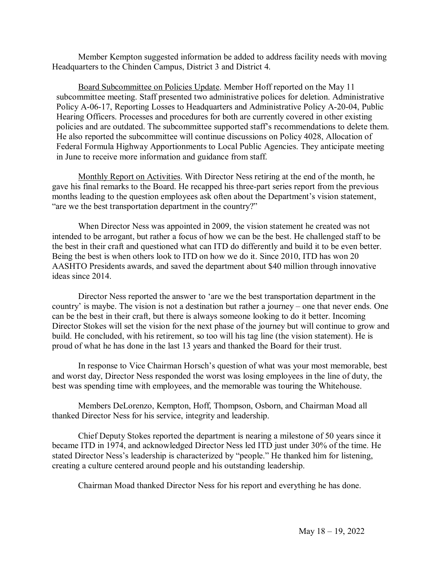Member Kempton suggested information be added to address facility needs with moving Headquarters to the Chinden Campus, District 3 and District 4.

Board Subcommittee on Policies Update. Member Hoff reported on the May 11 subcommittee meeting. Staff presented two administrative polices for deletion. Administrative Policy A-06-17, Reporting Losses to Headquarters and Administrative Policy A-20-04, Public Hearing Officers. Processes and procedures for both are currently covered in other existing policies and are outdated. The subcommittee supported staff's recommendations to delete them. He also reported the subcommittee will continue discussions on Policy 4028, Allocation of Federal Formula Highway Apportionments to Local Public Agencies. They anticipate meeting in June to receive more information and guidance from staff.

Monthly Report on Activities. With Director Ness retiring at the end of the month, he gave his final remarks to the Board. He recapped his three-part series report from the previous months leading to the question employees ask often about the Department's vision statement, "are we the best transportation department in the country?"

When Director Ness was appointed in 2009, the vision statement he created was not intended to be arrogant, but rather a focus of how we can be the best. He challenged staff to be the best in their craft and questioned what can ITD do differently and build it to be even better. Being the best is when others look to ITD on how we do it. Since 2010, ITD has won 20 AASHTO Presidents awards, and saved the department about \$40 million through innovative ideas since 2014.

Director Ness reported the answer to 'are we the best transportation department in the country' is maybe. The vision is not a destination but rather a journey – one that never ends. One can be the best in their craft, but there is always someone looking to do it better. Incoming Director Stokes will set the vision for the next phase of the journey but will continue to grow and build. He concluded, with his retirement, so too will his tag line (the vision statement). He is proud of what he has done in the last 13 years and thanked the Board for their trust.

In response to Vice Chairman Horsch's question of what was your most memorable, best and worst day, Director Ness responded the worst was losing employees in the line of duty, the best was spending time with employees, and the memorable was touring the Whitehouse.

Members DeLorenzo, Kempton, Hoff, Thompson, Osborn, and Chairman Moad all thanked Director Ness for his service, integrity and leadership.

Chief Deputy Stokes reported the department is nearing a milestone of 50 years since it became ITD in 1974, and acknowledged Director Ness led ITD just under 30% of the time. He stated Director Ness's leadership is characterized by "people." He thanked him for listening, creating a culture centered around people and his outstanding leadership.

Chairman Moad thanked Director Ness for his report and everything he has done.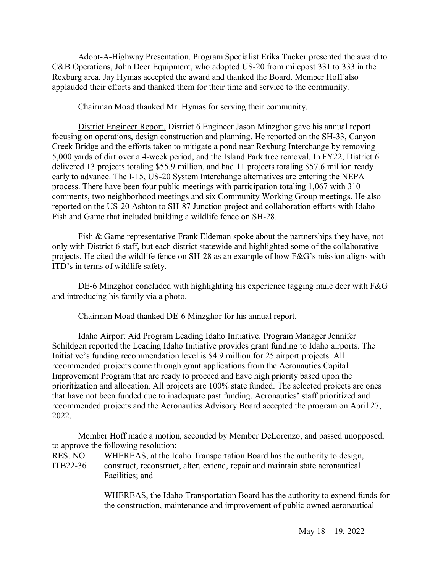Adopt-A-Highway Presentation. Program Specialist Erika Tucker presented the award to C&B Operations, John Deer Equipment, who adopted US-20 from milepost 331 to 333 in the Rexburg area. Jay Hymas accepted the award and thanked the Board. Member Hoff also applauded their efforts and thanked them for their time and service to the community.

Chairman Moad thanked Mr. Hymas for serving their community.

District Engineer Report. District 6 Engineer Jason Minzghor gave his annual report focusing on operations, design construction and planning. He reported on the SH-33, Canyon Creek Bridge and the efforts taken to mitigate a pond near Rexburg Interchange by removing 5,000 yards of dirt over a 4-week period, and the Island Park tree removal. In FY22, District 6 delivered 13 projects totaling \$55.9 million, and had 11 projects totaling \$57.6 million ready early to advance. The I-15, US-20 System Interchange alternatives are entering the NEPA process. There have been four public meetings with participation totaling 1,067 with 310 comments, two neighborhood meetings and six Community Working Group meetings. He also reported on the US-20 Ashton to SH-87 Junction project and collaboration efforts with Idaho Fish and Game that included building a wildlife fence on SH-28.

Fish & Game representative Frank Eldeman spoke about the partnerships they have, not only with District 6 staff, but each district statewide and highlighted some of the collaborative projects. He cited the wildlife fence on SH-28 as an example of how F&G's mission aligns with ITD's in terms of wildlife safety.

DE-6 Minzghor concluded with highlighting his experience tagging mule deer with F&G and introducing his family via a photo.

Chairman Moad thanked DE-6 Minzghor for his annual report.

Idaho Airport Aid Program Leading Idaho Initiative. Program Manager Jennifer Schildgen reported the Leading Idaho Initiative provides grant funding to Idaho airports. The Initiative's funding recommendation level is \$4.9 million for 25 airport projects. All recommended projects come through grant applications from the Aeronautics Capital Improvement Program that are ready to proceed and have high priority based upon the prioritization and allocation. All projects are 100% state funded. The selected projects are ones that have not been funded due to inadequate past funding. Aeronautics' staff prioritized and recommended projects and the Aeronautics Advisory Board accepted the program on April 27, 2022.

Member Hoff made a motion, seconded by Member DeLorenzo, and passed unopposed, to approve the following resolution:

RES. NO. WHEREAS, at the Idaho Transportation Board has the authority to design, ITB22-36 construct, reconstruct, alter, extend, repair and maintain state aeronautical construct, reconstruct, alter, extend, repair and maintain state aeronautical Facilities; and

> WHEREAS, the Idaho Transportation Board has the authority to expend funds for the construction, maintenance and improvement of public owned aeronautical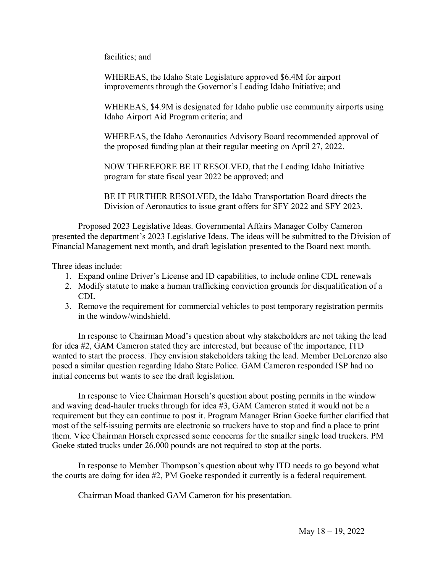facilities; and

WHEREAS, the Idaho State Legislature approved \$6.4M for airport improvements through the Governor's Leading Idaho Initiative; and

WHEREAS, \$4.9M is designated for Idaho public use community airports using Idaho Airport Aid Program criteria; and

WHEREAS, the Idaho Aeronautics Advisory Board recommended approval of the proposed funding plan at their regular meeting on April 27, 2022.

NOW THEREFORE BE IT RESOLVED, that the Leading Idaho Initiative program for state fiscal year 2022 be approved; and

BE IT FURTHER RESOLVED, the Idaho Transportation Board directs the Division of Aeronautics to issue grant offers for SFY 2022 and SFY 2023.

Proposed 2023 Legislative Ideas. Governmental Affairs Manager Colby Cameron presented the department's 2023 Legislative Ideas. The ideas will be submitted to the Division of Financial Management next month, and draft legislation presented to the Board next month.

Three ideas include:

- 1. Expand online Driver's License and ID capabilities, to include online CDL renewals
- 2. Modify statute to make a human trafficking conviction grounds for disqualification of a CDL
- 3. Remove the requirement for commercial vehicles to post temporary registration permits in the window/windshield.

In response to Chairman Moad's question about why stakeholders are not taking the lead for idea #2, GAM Cameron stated they are interested, but because of the importance, ITD wanted to start the process. They envision stakeholders taking the lead. Member DeLorenzo also posed a similar question regarding Idaho State Police. GAM Cameron responded ISP had no initial concerns but wants to see the draft legislation.

In response to Vice Chairman Horsch's question about posting permits in the window and waving dead-hauler trucks through for idea #3, GAM Cameron stated it would not be a requirement but they can continue to post it. Program Manager Brian Goeke further clarified that most of the self-issuing permits are electronic so truckers have to stop and find a place to print them. Vice Chairman Horsch expressed some concerns for the smaller single load truckers. PM Goeke stated trucks under 26,000 pounds are not required to stop at the ports.

In response to Member Thompson's question about why ITD needs to go beyond what the courts are doing for idea #2, PM Goeke responded it currently is a federal requirement.

Chairman Moad thanked GAM Cameron for his presentation.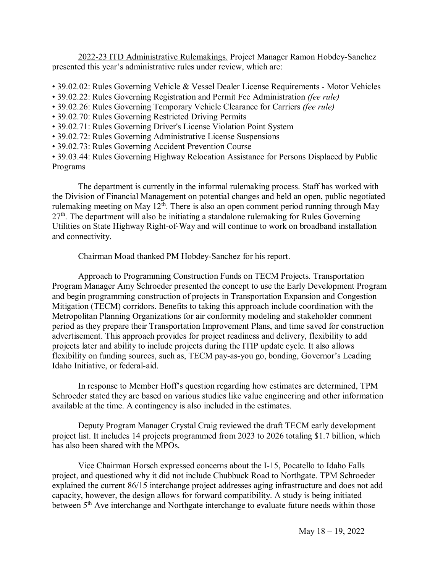2022-23 ITD Administrative Rulemakings. Project Manager Ramon Hobdey-Sanchez presented this year's administrative rules under review, which are:

- 39.02.02: Rules Governing Vehicle & Vessel Dealer License Requirements Motor Vehicles
- 39.02.22: Rules Governing Registration and Permit Fee Administration *(fee rule)*
- 39.02.26: Rules Governing Temporary Vehicle Clearance for Carriers *(fee rule)*
- 39.02.70: Rules Governing Restricted Driving Permits
- 39.02.71: Rules Governing Driver's License Violation Point System
- 39.02.72: Rules Governing Administrative License Suspensions
- 39.02.73: Rules Governing Accident Prevention Course

• 39.03.44: Rules Governing Highway Relocation Assistance for Persons Displaced by Public Programs

The department is currently in the informal rulemaking process. Staff has worked with the Division of Financial Management on potential changes and held an open, public negotiated rulemaking meeting on May  $12<sup>th</sup>$ . There is also an open comment period running through May  $27<sup>th</sup>$ . The department will also be initiating a standalone rulemaking for Rules Governing Utilities on State Highway Right-of-Way and will continue to work on broadband installation and connectivity.

Chairman Moad thanked PM Hobdey-Sanchez for his report.

Approach to Programming Construction Funds on TECM Projects. Transportation Program Manager Amy Schroeder presented the concept to use the Early Development Program and begin programming construction of projects in Transportation Expansion and Congestion Mitigation (TECM) corridors. Benefits to taking this approach include coordination with the Metropolitan Planning Organizations for air conformity modeling and stakeholder comment period as they prepare their Transportation Improvement Plans, and time saved for construction advertisement. This approach provides for project readiness and delivery, flexibility to add projects later and ability to include projects during the ITIP update cycle. It also allows flexibility on funding sources, such as, TECM pay-as-you go, bonding, Governor's Leading Idaho Initiative, or federal-aid.

In response to Member Hoff's question regarding how estimates are determined, TPM Schroeder stated they are based on various studies like value engineering and other information available at the time. A contingency is also included in the estimates.

Deputy Program Manager Crystal Craig reviewed the draft TECM early development project list. It includes 14 projects programmed from 2023 to 2026 totaling \$1.7 billion, which has also been shared with the MPOs.

Vice Chairman Horsch expressed concerns about the I-15, Pocatello to Idaho Falls project, and questioned why it did not include Chubbuck Road to Northgate. TPM Schroeder explained the current 86/15 interchange project addresses aging infrastructure and does not add capacity, however, the design allows for forward compatibility. A study is being initiated between 5<sup>th</sup> Ave interchange and Northgate interchange to evaluate future needs within those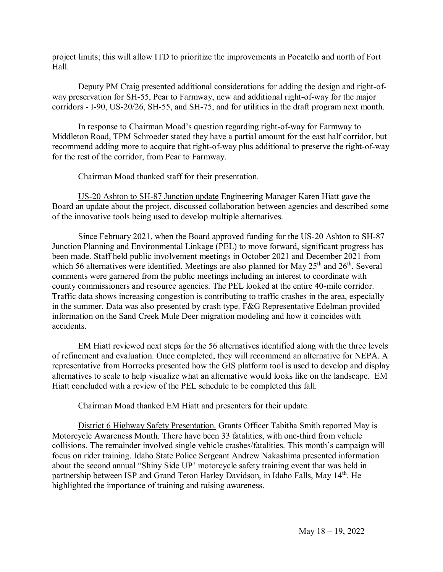project limits; this will allow ITD to prioritize the improvements in Pocatello and north of Fort Hall.

Deputy PM Craig presented additional considerations for adding the design and right-ofway preservation for SH-55, Pear to Farmway, new and additional right-of-way for the major corridors - I-90, US-20/26, SH-55, and SH-75, and for utilities in the draft program next month.

In response to Chairman Moad's question regarding right-of-way for Farmway to Middleton Road, TPM Schroeder stated they have a partial amount for the east half corridor, but recommend adding more to acquire that right-of-way plus additional to preserve the right-of-way for the rest of the corridor, from Pear to Farmway.

Chairman Moad thanked staff for their presentation.

US-20 Ashton to SH-87 Junction update Engineering Manager Karen Hiatt gave the Board an update about the project, discussed collaboration between agencies and described some of the innovative tools being used to develop multiple alternatives.

Since February 2021, when the Board approved funding for the US-20 Ashton to SH-87 Junction Planning and Environmental Linkage (PEL) to move forward, significant progress has been made. Staff held public involvement meetings in October 2021 and December 2021 from which 56 alternatives were identified. Meetings are also planned for May  $25<sup>th</sup>$  and  $26<sup>th</sup>$ . Several comments were garnered from the public meetings including an interest to coordinate with county commissioners and resource agencies. The PEL looked at the entire 40-mile corridor. Traffic data shows increasing congestion is contributing to traffic crashes in the area, especially in the summer. Data was also presented by crash type. F&G Representative Edelman provided information on the Sand Creek Mule Deer migration modeling and how it coincides with accidents.

EM Hiatt reviewed next steps for the 56 alternatives identified along with the three levels of refinement and evaluation. Once completed, they will recommend an alternative for NEPA. A representative from Horrocks presented how the GIS platform tool is used to develop and display alternatives to scale to help visualize what an alternative would looks like on the landscape. EM Hiatt concluded with a review of the PEL schedule to be completed this fall.

Chairman Moad thanked EM Hiatt and presenters for their update.

District 6 Highway Safety Presentation. Grants Officer Tabitha Smith reported May is Motorcycle Awareness Month. There have been 33 fatalities, with one-third from vehicle collisions. The remainder involved single vehicle crashes/fatalities. This month's campaign will focus on rider training. Idaho State Police Sergeant Andrew Nakashima presented information about the second annual "Shiny Side UP' motorcycle safety training event that was held in partnership between ISP and Grand Teton Harley Davidson, in Idaho Falls, May 14<sup>th</sup>. He highlighted the importance of training and raising awareness.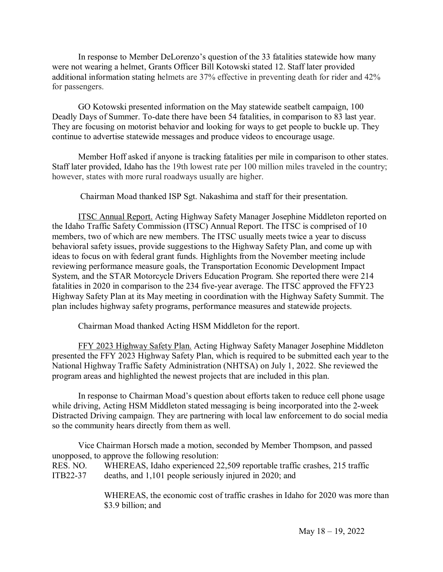In response to Member DeLorenzo's question of the 33 fatalities statewide how many were not wearing a helmet, Grants Officer Bill Kotowski stated 12. Staff later provided additional information stating helmets are 37% effective in preventing death for rider and 42% for passengers.

GO Kotowski presented information on the May statewide seatbelt campaign, 100 Deadly Days of Summer. To-date there have been 54 fatalities, in comparison to 83 last year. They are focusing on motorist behavior and looking for ways to get people to buckle up. They continue to advertise statewide messages and produce videos to encourage usage.

Member Hoff asked if anyone is tracking fatalities per mile in comparison to other states. Staff later provided, Idaho has the 19th lowest rate per 100 million miles traveled in the country; however, states with more rural roadways usually are higher.

Chairman Moad thanked ISP Sgt. Nakashima and staff for their presentation.

ITSC Annual Report. Acting Highway Safety Manager Josephine Middleton reported on the Idaho Traffic Safety Commission (ITSC) Annual Report. The ITSC is comprised of 10 members, two of which are new members. The ITSC usually meets twice a year to discuss behavioral safety issues, provide suggestions to the Highway Safety Plan, and come up with ideas to focus on with federal grant funds. Highlights from the November meeting include reviewing performance measure goals, the Transportation Economic Development Impact System, and the STAR Motorcycle Drivers Education Program. She reported there were 214 fatalities in 2020 in comparison to the 234 five-year average. The ITSC approved the FFY23 Highway Safety Plan at its May meeting in coordination with the Highway Safety Summit. The plan includes highway safety programs, performance measures and statewide projects.

Chairman Moad thanked Acting HSM Middleton for the report.

 FFY 2023 Highway Safety Plan. Acting Highway Safety Manager Josephine Middleton presented the FFY 2023 Highway Safety Plan, which is required to be submitted each year to the National Highway Traffic Safety Administration (NHTSA) on July 1, 2022. She reviewed the program areas and highlighted the newest projects that are included in this plan.

In response to Chairman Moad's question about efforts taken to reduce cell phone usage while driving, Acting HSM Middleton stated messaging is being incorporated into the 2-week Distracted Driving campaign. They are partnering with local law enforcement to do social media so the community hears directly from them as well.

Vice Chairman Horsch made a motion, seconded by Member Thompson, and passed unopposed, to approve the following resolution: RES. NO. WHEREAS, Idaho experienced 22,509 reportable traffic crashes, 215 traffic ITB22-37 deaths, and 1,101 people seriously injured in 2020; and

> WHEREAS, the economic cost of traffic crashes in Idaho for 2020 was more than \$3.9 billion; and